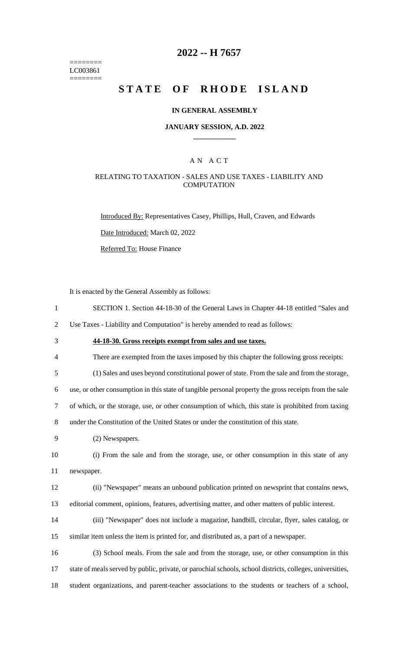======== LC003861 ========

## **2022 -- H 7657**

# **STATE OF RHODE ISLAND**

#### **IN GENERAL ASSEMBLY**

#### **JANUARY SESSION, A.D. 2022 \_\_\_\_\_\_\_\_\_\_\_\_**

### A N A C T

### RELATING TO TAXATION - SALES AND USE TAXES - LIABILITY AND **COMPUTATION**

Introduced By: Representatives Casey, Phillips, Hull, Craven, and Edwards

Date Introduced: March 02, 2022

Referred To: House Finance

It is enacted by the General Assembly as follows:

1 SECTION 1. Section 44-18-30 of the General Laws in Chapter 44-18 entitled "Sales and

2 Use Taxes - Liability and Computation" is hereby amended to read as follows:

- 3 **44-18-30. Gross receipts exempt from sales and use taxes.**
- 4 There are exempted from the taxes imposed by this chapter the following gross receipts:

5 (1) Sales and uses beyond constitutional power of state. From the sale and from the storage,

6 use, or other consumption in this state of tangible personal property the gross receipts from the sale

7 of which, or the storage, use, or other consumption of which, this state is prohibited from taxing

8 under the Constitution of the United States or under the constitution of this state.

9 (2) Newspapers.

10 (i) From the sale and from the storage, use, or other consumption in this state of any 11 newspaper.

12 (ii) "Newspaper" means an unbound publication printed on newsprint that contains news, 13 editorial comment, opinions, features, advertising matter, and other matters of public interest.

14 (iii) "Newspaper" does not include a magazine, handbill, circular, flyer, sales catalog, or 15 similar item unless the item is printed for, and distributed as, a part of a newspaper.

16 (3) School meals. From the sale and from the storage, use, or other consumption in this 17 state of meals served by public, private, or parochial schools, school districts, colleges, universities, 18 student organizations, and parent-teacher associations to the students or teachers of a school,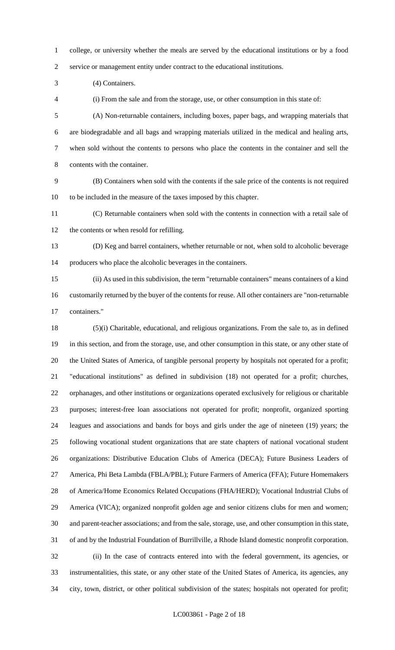college, or university whether the meals are served by the educational institutions or by a food service or management entity under contract to the educational institutions.

(4) Containers.

(i) From the sale and from the storage, use, or other consumption in this state of:

 (A) Non-returnable containers, including boxes, paper bags, and wrapping materials that are biodegradable and all bags and wrapping materials utilized in the medical and healing arts, when sold without the contents to persons who place the contents in the container and sell the contents with the container.

 (B) Containers when sold with the contents if the sale price of the contents is not required to be included in the measure of the taxes imposed by this chapter.

 (C) Returnable containers when sold with the contents in connection with a retail sale of the contents or when resold for refilling.

 (D) Keg and barrel containers, whether returnable or not, when sold to alcoholic beverage producers who place the alcoholic beverages in the containers.

 (ii) As used in this subdivision, the term "returnable containers" means containers of a kind customarily returned by the buyer of the contents for reuse. All other containers are "non-returnable containers."

 (5)(i) Charitable, educational, and religious organizations. From the sale to, as in defined in this section, and from the storage, use, and other consumption in this state, or any other state of the United States of America, of tangible personal property by hospitals not operated for a profit; "educational institutions" as defined in subdivision (18) not operated for a profit; churches, orphanages, and other institutions or organizations operated exclusively for religious or charitable purposes; interest-free loan associations not operated for profit; nonprofit, organized sporting leagues and associations and bands for boys and girls under the age of nineteen (19) years; the following vocational student organizations that are state chapters of national vocational student organizations: Distributive Education Clubs of America (DECA); Future Business Leaders of America, Phi Beta Lambda (FBLA/PBL); Future Farmers of America (FFA); Future Homemakers of America/Home Economics Related Occupations (FHA/HERD); Vocational Industrial Clubs of America (VICA); organized nonprofit golden age and senior citizens clubs for men and women; and parent-teacher associations; and from the sale, storage, use, and other consumption in this state, of and by the Industrial Foundation of Burrillville, a Rhode Island domestic nonprofit corporation. (ii) In the case of contracts entered into with the federal government, its agencies, or instrumentalities, this state, or any other state of the United States of America, its agencies, any city, town, district, or other political subdivision of the states; hospitals not operated for profit;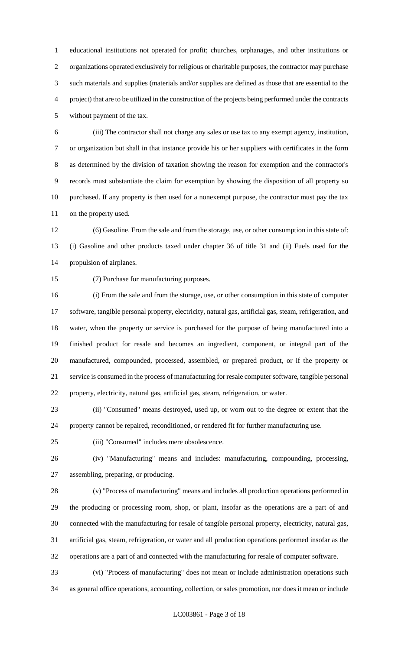educational institutions not operated for profit; churches, orphanages, and other institutions or organizations operated exclusively for religious or charitable purposes, the contractor may purchase such materials and supplies (materials and/or supplies are defined as those that are essential to the project) that are to be utilized in the construction of the projects being performed under the contracts without payment of the tax.

 (iii) The contractor shall not charge any sales or use tax to any exempt agency, institution, or organization but shall in that instance provide his or her suppliers with certificates in the form as determined by the division of taxation showing the reason for exemption and the contractor's records must substantiate the claim for exemption by showing the disposition of all property so purchased. If any property is then used for a nonexempt purpose, the contractor must pay the tax on the property used.

 (6) Gasoline. From the sale and from the storage, use, or other consumption in this state of: (i) Gasoline and other products taxed under chapter 36 of title 31 and (ii) Fuels used for the propulsion of airplanes.

(7) Purchase for manufacturing purposes.

 (i) From the sale and from the storage, use, or other consumption in this state of computer software, tangible personal property, electricity, natural gas, artificial gas, steam, refrigeration, and water, when the property or service is purchased for the purpose of being manufactured into a finished product for resale and becomes an ingredient, component, or integral part of the manufactured, compounded, processed, assembled, or prepared product, or if the property or service is consumed in the process of manufacturing for resale computer software, tangible personal property, electricity, natural gas, artificial gas, steam, refrigeration, or water.

 (ii) "Consumed" means destroyed, used up, or worn out to the degree or extent that the property cannot be repaired, reconditioned, or rendered fit for further manufacturing use.

(iii) "Consumed" includes mere obsolescence.

 (iv) "Manufacturing" means and includes: manufacturing, compounding, processing, assembling, preparing, or producing.

 (v) "Process of manufacturing" means and includes all production operations performed in the producing or processing room, shop, or plant, insofar as the operations are a part of and connected with the manufacturing for resale of tangible personal property, electricity, natural gas, artificial gas, steam, refrigeration, or water and all production operations performed insofar as the operations are a part of and connected with the manufacturing for resale of computer software.

 (vi) "Process of manufacturing" does not mean or include administration operations such as general office operations, accounting, collection, or sales promotion, nor does it mean or include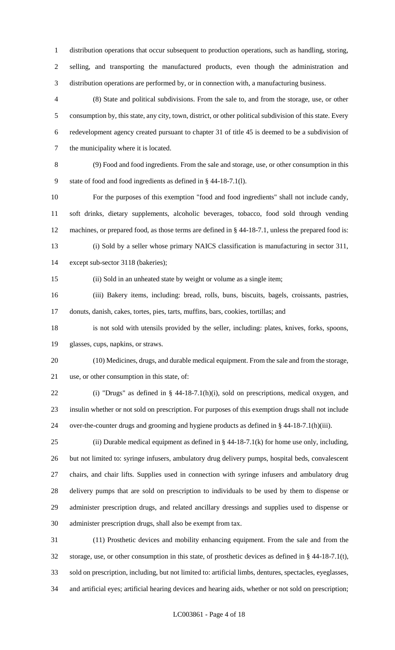distribution operations that occur subsequent to production operations, such as handling, storing, selling, and transporting the manufactured products, even though the administration and distribution operations are performed by, or in connection with, a manufacturing business.

 (8) State and political subdivisions. From the sale to, and from the storage, use, or other consumption by, this state, any city, town, district, or other political subdivision of this state. Every redevelopment agency created pursuant to chapter 31 of title 45 is deemed to be a subdivision of the municipality where it is located.

 (9) Food and food ingredients. From the sale and storage, use, or other consumption in this state of food and food ingredients as defined in § 44-18-7.1(l).

 For the purposes of this exemption "food and food ingredients" shall not include candy, soft drinks, dietary supplements, alcoholic beverages, tobacco, food sold through vending machines, or prepared food, as those terms are defined in § 44-18-7.1, unless the prepared food is: (i) Sold by a seller whose primary NAICS classification is manufacturing in sector 311,

except sub-sector 3118 (bakeries);

(ii) Sold in an unheated state by weight or volume as a single item;

 (iii) Bakery items, including: bread, rolls, buns, biscuits, bagels, croissants, pastries, donuts, danish, cakes, tortes, pies, tarts, muffins, bars, cookies, tortillas; and

 is not sold with utensils provided by the seller, including: plates, knives, forks, spoons, glasses, cups, napkins, or straws.

 (10) Medicines, drugs, and durable medical equipment. From the sale and from the storage, use, or other consumption in this state, of:

 (i) "Drugs" as defined in § 44-18-7.1(h)(i), sold on prescriptions, medical oxygen, and insulin whether or not sold on prescription. For purposes of this exemption drugs shall not include over-the-counter drugs and grooming and hygiene products as defined in § 44-18-7.1(h)(iii).

25 (ii) Durable medical equipment as defined in  $\S$  44-18-7.1(k) for home use only, including, but not limited to: syringe infusers, ambulatory drug delivery pumps, hospital beds, convalescent chairs, and chair lifts. Supplies used in connection with syringe infusers and ambulatory drug delivery pumps that are sold on prescription to individuals to be used by them to dispense or administer prescription drugs, and related ancillary dressings and supplies used to dispense or administer prescription drugs, shall also be exempt from tax.

 (11) Prosthetic devices and mobility enhancing equipment. From the sale and from the storage, use, or other consumption in this state, of prosthetic devices as defined in § 44-18-7.1(t), sold on prescription, including, but not limited to: artificial limbs, dentures, spectacles, eyeglasses, and artificial eyes; artificial hearing devices and hearing aids, whether or not sold on prescription;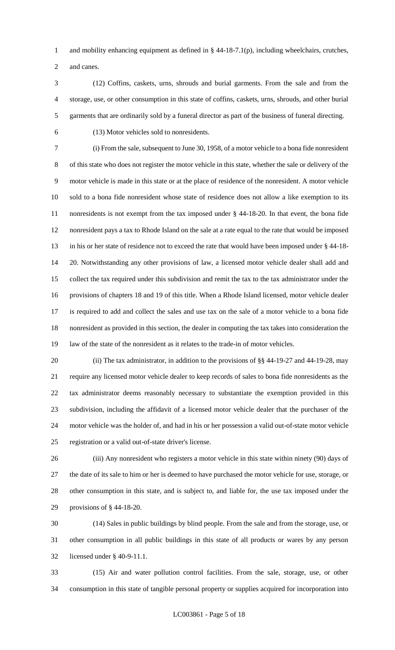and mobility enhancing equipment as defined in § 44-18-7.1(p), including wheelchairs, crutches, and canes.

 (12) Coffins, caskets, urns, shrouds and burial garments. From the sale and from the storage, use, or other consumption in this state of coffins, caskets, urns, shrouds, and other burial garments that are ordinarily sold by a funeral director as part of the business of funeral directing.

(13) Motor vehicles sold to nonresidents.

 (i) From the sale, subsequent to June 30, 1958, of a motor vehicle to a bona fide nonresident of this state who does not register the motor vehicle in this state, whether the sale or delivery of the motor vehicle is made in this state or at the place of residence of the nonresident. A motor vehicle sold to a bona fide nonresident whose state of residence does not allow a like exemption to its nonresidents is not exempt from the tax imposed under § 44-18-20. In that event, the bona fide nonresident pays a tax to Rhode Island on the sale at a rate equal to the rate that would be imposed in his or her state of residence not to exceed the rate that would have been imposed under § 44-18- 20. Notwithstanding any other provisions of law, a licensed motor vehicle dealer shall add and collect the tax required under this subdivision and remit the tax to the tax administrator under the provisions of chapters 18 and 19 of this title. When a Rhode Island licensed, motor vehicle dealer is required to add and collect the sales and use tax on the sale of a motor vehicle to a bona fide nonresident as provided in this section, the dealer in computing the tax takes into consideration the law of the state of the nonresident as it relates to the trade-in of motor vehicles.

20 (ii) The tax administrator, in addition to the provisions of §§ 44-19-27 and 44-19-28, may require any licensed motor vehicle dealer to keep records of sales to bona fide nonresidents as the tax administrator deems reasonably necessary to substantiate the exemption provided in this subdivision, including the affidavit of a licensed motor vehicle dealer that the purchaser of the motor vehicle was the holder of, and had in his or her possession a valid out-of-state motor vehicle registration or a valid out-of-state driver's license.

 (iii) Any nonresident who registers a motor vehicle in this state within ninety (90) days of the date of its sale to him or her is deemed to have purchased the motor vehicle for use, storage, or other consumption in this state, and is subject to, and liable for, the use tax imposed under the provisions of § 44-18-20.

 (14) Sales in public buildings by blind people. From the sale and from the storage, use, or other consumption in all public buildings in this state of all products or wares by any person licensed under § 40-9-11.1.

 (15) Air and water pollution control facilities. From the sale, storage, use, or other consumption in this state of tangible personal property or supplies acquired for incorporation into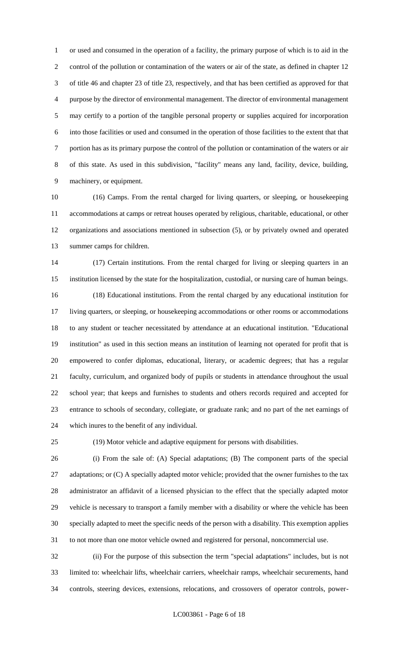or used and consumed in the operation of a facility, the primary purpose of which is to aid in the control of the pollution or contamination of the waters or air of the state, as defined in chapter 12 of title 46 and chapter 23 of title 23, respectively, and that has been certified as approved for that purpose by the director of environmental management. The director of environmental management may certify to a portion of the tangible personal property or supplies acquired for incorporation into those facilities or used and consumed in the operation of those facilities to the extent that that portion has as its primary purpose the control of the pollution or contamination of the waters or air of this state. As used in this subdivision, "facility" means any land, facility, device, building, machinery, or equipment.

 (16) Camps. From the rental charged for living quarters, or sleeping, or housekeeping accommodations at camps or retreat houses operated by religious, charitable, educational, or other organizations and associations mentioned in subsection (5), or by privately owned and operated summer camps for children.

 (17) Certain institutions. From the rental charged for living or sleeping quarters in an institution licensed by the state for the hospitalization, custodial, or nursing care of human beings. (18) Educational institutions. From the rental charged by any educational institution for living quarters, or sleeping, or housekeeping accommodations or other rooms or accommodations to any student or teacher necessitated by attendance at an educational institution. "Educational institution" as used in this section means an institution of learning not operated for profit that is empowered to confer diplomas, educational, literary, or academic degrees; that has a regular faculty, curriculum, and organized body of pupils or students in attendance throughout the usual school year; that keeps and furnishes to students and others records required and accepted for entrance to schools of secondary, collegiate, or graduate rank; and no part of the net earnings of which inures to the benefit of any individual.

(19) Motor vehicle and adaptive equipment for persons with disabilities.

 (i) From the sale of: (A) Special adaptations; (B) The component parts of the special 27 adaptations; or (C) A specially adapted motor vehicle; provided that the owner furnishes to the tax administrator an affidavit of a licensed physician to the effect that the specially adapted motor vehicle is necessary to transport a family member with a disability or where the vehicle has been specially adapted to meet the specific needs of the person with a disability. This exemption applies to not more than one motor vehicle owned and registered for personal, noncommercial use.

 (ii) For the purpose of this subsection the term "special adaptations" includes, but is not limited to: wheelchair lifts, wheelchair carriers, wheelchair ramps, wheelchair securements, hand controls, steering devices, extensions, relocations, and crossovers of operator controls, power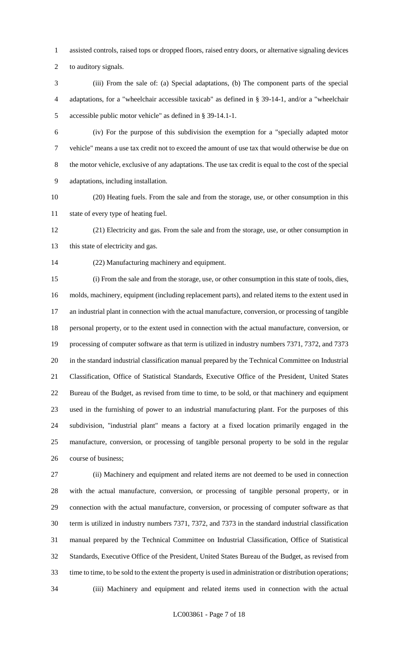assisted controls, raised tops or dropped floors, raised entry doors, or alternative signaling devices

to auditory signals.

 (iii) From the sale of: (a) Special adaptations, (b) The component parts of the special adaptations, for a "wheelchair accessible taxicab" as defined in § 39-14-1, and/or a "wheelchair accessible public motor vehicle" as defined in § 39-14.1-1.

 (iv) For the purpose of this subdivision the exemption for a "specially adapted motor vehicle" means a use tax credit not to exceed the amount of use tax that would otherwise be due on the motor vehicle, exclusive of any adaptations. The use tax credit is equal to the cost of the special adaptations, including installation.

 (20) Heating fuels. From the sale and from the storage, use, or other consumption in this state of every type of heating fuel.

 (21) Electricity and gas. From the sale and from the storage, use, or other consumption in 13 this state of electricity and gas.

(22) Manufacturing machinery and equipment.

 (i) From the sale and from the storage, use, or other consumption in this state of tools, dies, molds, machinery, equipment (including replacement parts), and related items to the extent used in an industrial plant in connection with the actual manufacture, conversion, or processing of tangible personal property, or to the extent used in connection with the actual manufacture, conversion, or processing of computer software as that term is utilized in industry numbers 7371, 7372, and 7373 in the standard industrial classification manual prepared by the Technical Committee on Industrial Classification, Office of Statistical Standards, Executive Office of the President, United States Bureau of the Budget, as revised from time to time, to be sold, or that machinery and equipment used in the furnishing of power to an industrial manufacturing plant. For the purposes of this subdivision, "industrial plant" means a factory at a fixed location primarily engaged in the manufacture, conversion, or processing of tangible personal property to be sold in the regular course of business;

 (ii) Machinery and equipment and related items are not deemed to be used in connection with the actual manufacture, conversion, or processing of tangible personal property, or in connection with the actual manufacture, conversion, or processing of computer software as that term is utilized in industry numbers 7371, 7372, and 7373 in the standard industrial classification manual prepared by the Technical Committee on Industrial Classification, Office of Statistical Standards, Executive Office of the President, United States Bureau of the Budget, as revised from time to time, to be sold to the extent the property is used in administration or distribution operations; (iii) Machinery and equipment and related items used in connection with the actual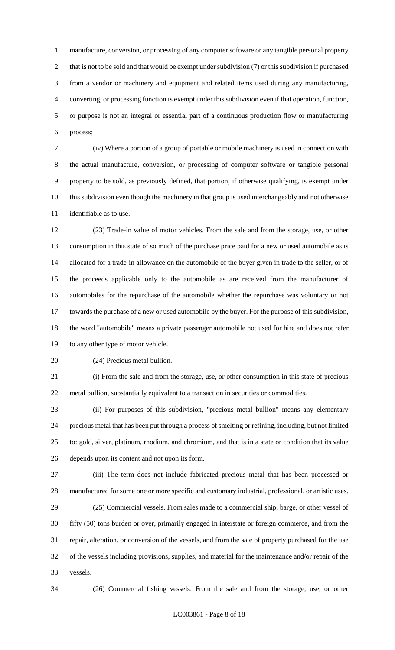manufacture, conversion, or processing of any computer software or any tangible personal property 2 that is not to be sold and that would be exempt under subdivision (7) or this subdivision if purchased from a vendor or machinery and equipment and related items used during any manufacturing, converting, or processing function is exempt under this subdivision even if that operation, function, or purpose is not an integral or essential part of a continuous production flow or manufacturing process;

 (iv) Where a portion of a group of portable or mobile machinery is used in connection with the actual manufacture, conversion, or processing of computer software or tangible personal property to be sold, as previously defined, that portion, if otherwise qualifying, is exempt under this subdivision even though the machinery in that group is used interchangeably and not otherwise identifiable as to use.

 (23) Trade-in value of motor vehicles. From the sale and from the storage, use, or other consumption in this state of so much of the purchase price paid for a new or used automobile as is allocated for a trade-in allowance on the automobile of the buyer given in trade to the seller, or of the proceeds applicable only to the automobile as are received from the manufacturer of automobiles for the repurchase of the automobile whether the repurchase was voluntary or not towards the purchase of a new or used automobile by the buyer. For the purpose of this subdivision, the word "automobile" means a private passenger automobile not used for hire and does not refer to any other type of motor vehicle.

(24) Precious metal bullion.

 (i) From the sale and from the storage, use, or other consumption in this state of precious metal bullion, substantially equivalent to a transaction in securities or commodities.

 (ii) For purposes of this subdivision, "precious metal bullion" means any elementary precious metal that has been put through a process of smelting or refining, including, but not limited to: gold, silver, platinum, rhodium, and chromium, and that is in a state or condition that its value depends upon its content and not upon its form.

 (iii) The term does not include fabricated precious metal that has been processed or manufactured for some one or more specific and customary industrial, professional, or artistic uses. (25) Commercial vessels. From sales made to a commercial ship, barge, or other vessel of

 fifty (50) tons burden or over, primarily engaged in interstate or foreign commerce, and from the repair, alteration, or conversion of the vessels, and from the sale of property purchased for the use of the vessels including provisions, supplies, and material for the maintenance and/or repair of the vessels.

(26) Commercial fishing vessels. From the sale and from the storage, use, or other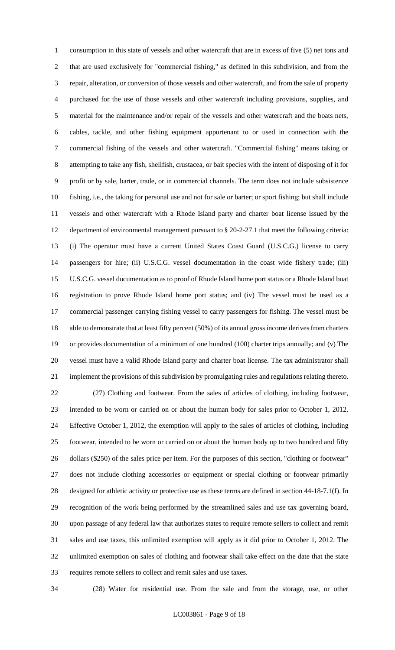consumption in this state of vessels and other watercraft that are in excess of five (5) net tons and that are used exclusively for "commercial fishing," as defined in this subdivision, and from the repair, alteration, or conversion of those vessels and other watercraft, and from the sale of property purchased for the use of those vessels and other watercraft including provisions, supplies, and material for the maintenance and/or repair of the vessels and other watercraft and the boats nets, cables, tackle, and other fishing equipment appurtenant to or used in connection with the commercial fishing of the vessels and other watercraft. "Commercial fishing" means taking or attempting to take any fish, shellfish, crustacea, or bait species with the intent of disposing of it for profit or by sale, barter, trade, or in commercial channels. The term does not include subsistence fishing, i.e., the taking for personal use and not for sale or barter; or sport fishing; but shall include vessels and other watercraft with a Rhode Island party and charter boat license issued by the department of environmental management pursuant to § 20-2-27.1 that meet the following criteria: (i) The operator must have a current United States Coast Guard (U.S.C.G.) license to carry passengers for hire; (ii) U.S.C.G. vessel documentation in the coast wide fishery trade; (iii) U.S.C.G. vessel documentation as to proof of Rhode Island home port status or a Rhode Island boat registration to prove Rhode Island home port status; and (iv) The vessel must be used as a commercial passenger carrying fishing vessel to carry passengers for fishing. The vessel must be able to demonstrate that at least fifty percent (50%) of its annual gross income derives from charters or provides documentation of a minimum of one hundred (100) charter trips annually; and (v) The vessel must have a valid Rhode Island party and charter boat license. The tax administrator shall implement the provisions of this subdivision by promulgating rules and regulations relating thereto. (27) Clothing and footwear. From the sales of articles of clothing, including footwear, intended to be worn or carried on or about the human body for sales prior to October 1, 2012. Effective October 1, 2012, the exemption will apply to the sales of articles of clothing, including footwear, intended to be worn or carried on or about the human body up to two hundred and fifty dollars (\$250) of the sales price per item. For the purposes of this section, "clothing or footwear" does not include clothing accessories or equipment or special clothing or footwear primarily designed for athletic activity or protective use as these terms are defined in section 44-18-7.1(f). In recognition of the work being performed by the streamlined sales and use tax governing board, upon passage of any federal law that authorizes states to require remote sellers to collect and remit sales and use taxes, this unlimited exemption will apply as it did prior to October 1, 2012. The unlimited exemption on sales of clothing and footwear shall take effect on the date that the state requires remote sellers to collect and remit sales and use taxes.

(28) Water for residential use. From the sale and from the storage, use, or other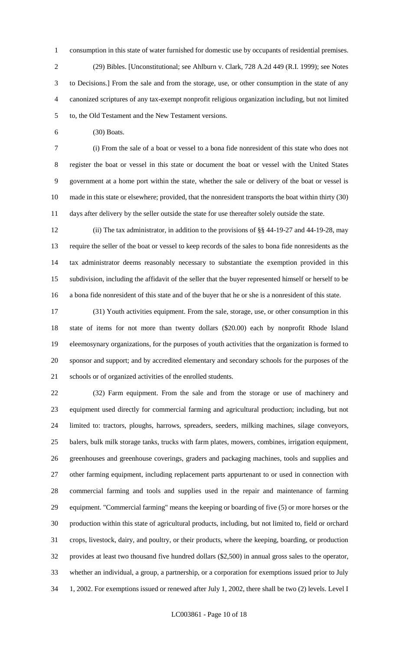consumption in this state of water furnished for domestic use by occupants of residential premises. (29) Bibles. [Unconstitutional; see Ahlburn v. Clark, 728 A.2d 449 (R.I. 1999); see Notes to Decisions.] From the sale and from the storage, use, or other consumption in the state of any canonized scriptures of any tax-exempt nonprofit religious organization including, but not limited to, the Old Testament and the New Testament versions.

(30) Boats.

 (i) From the sale of a boat or vessel to a bona fide nonresident of this state who does not register the boat or vessel in this state or document the boat or vessel with the United States government at a home port within the state, whether the sale or delivery of the boat or vessel is made in this state or elsewhere; provided, that the nonresident transports the boat within thirty (30) days after delivery by the seller outside the state for use thereafter solely outside the state.

 (ii) The tax administrator, in addition to the provisions of §§ 44-19-27 and 44-19-28, may require the seller of the boat or vessel to keep records of the sales to bona fide nonresidents as the tax administrator deems reasonably necessary to substantiate the exemption provided in this subdivision, including the affidavit of the seller that the buyer represented himself or herself to be a bona fide nonresident of this state and of the buyer that he or she is a nonresident of this state.

 (31) Youth activities equipment. From the sale, storage, use, or other consumption in this state of items for not more than twenty dollars (\$20.00) each by nonprofit Rhode Island eleemosynary organizations, for the purposes of youth activities that the organization is formed to sponsor and support; and by accredited elementary and secondary schools for the purposes of the schools or of organized activities of the enrolled students.

 (32) Farm equipment. From the sale and from the storage or use of machinery and equipment used directly for commercial farming and agricultural production; including, but not limited to: tractors, ploughs, harrows, spreaders, seeders, milking machines, silage conveyors, balers, bulk milk storage tanks, trucks with farm plates, mowers, combines, irrigation equipment, greenhouses and greenhouse coverings, graders and packaging machines, tools and supplies and other farming equipment, including replacement parts appurtenant to or used in connection with commercial farming and tools and supplies used in the repair and maintenance of farming equipment. "Commercial farming" means the keeping or boarding of five (5) or more horses or the production within this state of agricultural products, including, but not limited to, field or orchard crops, livestock, dairy, and poultry, or their products, where the keeping, boarding, or production provides at least two thousand five hundred dollars (\$2,500) in annual gross sales to the operator, whether an individual, a group, a partnership, or a corporation for exemptions issued prior to July 1, 2002. For exemptions issued or renewed after July 1, 2002, there shall be two (2) levels. Level I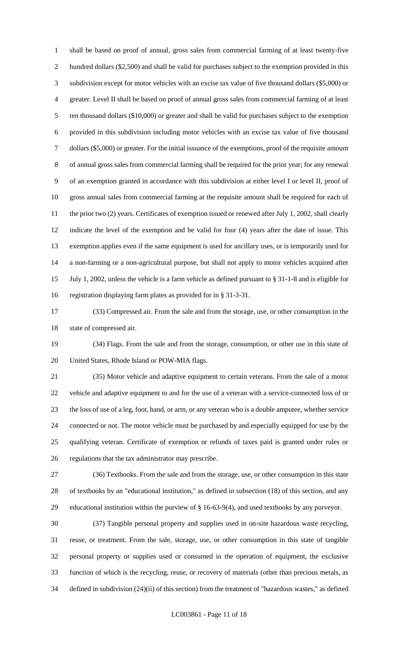shall be based on proof of annual, gross sales from commercial farming of at least twenty-five hundred dollars (\$2,500) and shall be valid for purchases subject to the exemption provided in this subdivision except for motor vehicles with an excise tax value of five thousand dollars (\$5,000) or greater. Level II shall be based on proof of annual gross sales from commercial farming of at least ten thousand dollars (\$10,000) or greater and shall be valid for purchases subject to the exemption provided in this subdivision including motor vehicles with an excise tax value of five thousand dollars (\$5,000) or greater. For the initial issuance of the exemptions, proof of the requisite amount of annual gross sales from commercial farming shall be required for the prior year; for any renewal of an exemption granted in accordance with this subdivision at either level I or level II, proof of gross annual sales from commercial farming at the requisite amount shall be required for each of 11 the prior two (2) years. Certificates of exemption issued or renewed after July 1, 2002, shall clearly indicate the level of the exemption and be valid for four (4) years after the date of issue. This exemption applies even if the same equipment is used for ancillary uses, or is temporarily used for a non-farming or a non-agricultural purpose, but shall not apply to motor vehicles acquired after July 1, 2002, unless the vehicle is a farm vehicle as defined pursuant to § 31-1-8 and is eligible for registration displaying farm plates as provided for in § 31-3-31.

 (33) Compressed air. From the sale and from the storage, use, or other consumption in the state of compressed air.

 (34) Flags. From the sale and from the storage, consumption, or other use in this state of United States, Rhode Island or POW-MIA flags.

 (35) Motor vehicle and adaptive equipment to certain veterans. From the sale of a motor vehicle and adaptive equipment to and for the use of a veteran with a service-connected loss of or the loss of use of a leg, foot, hand, or arm, or any veteran who is a double amputee, whether service connected or not. The motor vehicle must be purchased by and especially equipped for use by the qualifying veteran. Certificate of exemption or refunds of taxes paid is granted under rules or regulations that the tax administrator may prescribe.

 (36) Textbooks. From the sale and from the storage, use, or other consumption in this state of textbooks by an "educational institution," as defined in subsection (18) of this section, and any educational institution within the purview of § 16-63-9(4), and used textbooks by any purveyor.

 (37) Tangible personal property and supplies used in on-site hazardous waste recycling, reuse, or treatment. From the sale, storage, use, or other consumption in this state of tangible personal property or supplies used or consumed in the operation of equipment, the exclusive function of which is the recycling, reuse, or recovery of materials (other than precious metals, as defined in subdivision (24)(ii) of this section) from the treatment of "hazardous wastes," as defined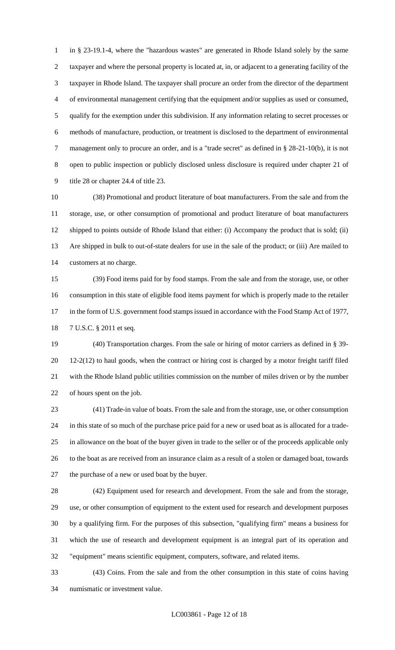in § 23-19.1-4, where the "hazardous wastes" are generated in Rhode Island solely by the same taxpayer and where the personal property is located at, in, or adjacent to a generating facility of the taxpayer in Rhode Island. The taxpayer shall procure an order from the director of the department of environmental management certifying that the equipment and/or supplies as used or consumed, qualify for the exemption under this subdivision. If any information relating to secret processes or methods of manufacture, production, or treatment is disclosed to the department of environmental management only to procure an order, and is a "trade secret" as defined in § 28-21-10(b), it is not open to public inspection or publicly disclosed unless disclosure is required under chapter 21 of title 28 or chapter 24.4 of title 23.

 (38) Promotional and product literature of boat manufacturers. From the sale and from the storage, use, or other consumption of promotional and product literature of boat manufacturers shipped to points outside of Rhode Island that either: (i) Accompany the product that is sold; (ii) Are shipped in bulk to out-of-state dealers for use in the sale of the product; or (iii) Are mailed to customers at no charge.

 (39) Food items paid for by food stamps. From the sale and from the storage, use, or other consumption in this state of eligible food items payment for which is properly made to the retailer 17 in the form of U.S. government food stamps issued in accordance with the Food Stamp Act of 1977, 7 U.S.C. § 2011 et seq.

 (40) Transportation charges. From the sale or hiring of motor carriers as defined in § 39- 12-2(12) to haul goods, when the contract or hiring cost is charged by a motor freight tariff filed with the Rhode Island public utilities commission on the number of miles driven or by the number of hours spent on the job.

 (41) Trade-in value of boats. From the sale and from the storage, use, or other consumption in this state of so much of the purchase price paid for a new or used boat as is allocated for a trade- in allowance on the boat of the buyer given in trade to the seller or of the proceeds applicable only to the boat as are received from an insurance claim as a result of a stolen or damaged boat, towards the purchase of a new or used boat by the buyer.

 (42) Equipment used for research and development. From the sale and from the storage, use, or other consumption of equipment to the extent used for research and development purposes by a qualifying firm. For the purposes of this subsection, "qualifying firm" means a business for which the use of research and development equipment is an integral part of its operation and "equipment" means scientific equipment, computers, software, and related items.

 (43) Coins. From the sale and from the other consumption in this state of coins having numismatic or investment value.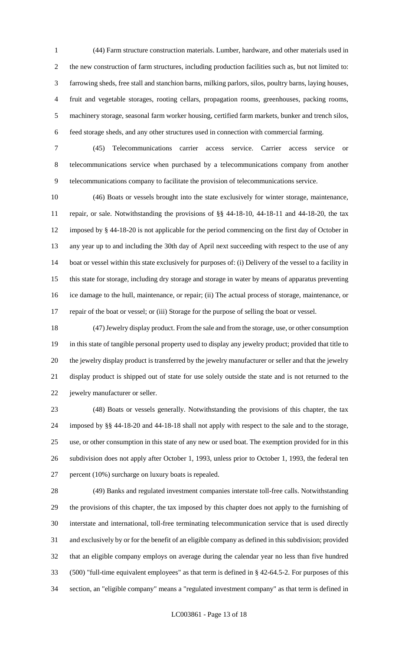(44) Farm structure construction materials. Lumber, hardware, and other materials used in the new construction of farm structures, including production facilities such as, but not limited to: farrowing sheds, free stall and stanchion barns, milking parlors, silos, poultry barns, laying houses, fruit and vegetable storages, rooting cellars, propagation rooms, greenhouses, packing rooms, machinery storage, seasonal farm worker housing, certified farm markets, bunker and trench silos, feed storage sheds, and any other structures used in connection with commercial farming.

 (45) Telecommunications carrier access service. Carrier access service or telecommunications service when purchased by a telecommunications company from another telecommunications company to facilitate the provision of telecommunications service.

 (46) Boats or vessels brought into the state exclusively for winter storage, maintenance, repair, or sale. Notwithstanding the provisions of §§ 44-18-10, 44-18-11 and 44-18-20, the tax imposed by § 44-18-20 is not applicable for the period commencing on the first day of October in any year up to and including the 30th day of April next succeeding with respect to the use of any boat or vessel within this state exclusively for purposes of: (i) Delivery of the vessel to a facility in this state for storage, including dry storage and storage in water by means of apparatus preventing ice damage to the hull, maintenance, or repair; (ii) The actual process of storage, maintenance, or repair of the boat or vessel; or (iii) Storage for the purpose of selling the boat or vessel.

 (47) Jewelry display product. From the sale and from the storage, use, or other consumption in this state of tangible personal property used to display any jewelry product; provided that title to the jewelry display product is transferred by the jewelry manufacturer or seller and that the jewelry display product is shipped out of state for use solely outside the state and is not returned to the jewelry manufacturer or seller.

 (48) Boats or vessels generally. Notwithstanding the provisions of this chapter, the tax imposed by §§ 44-18-20 and 44-18-18 shall not apply with respect to the sale and to the storage, use, or other consumption in this state of any new or used boat. The exemption provided for in this subdivision does not apply after October 1, 1993, unless prior to October 1, 1993, the federal ten percent (10%) surcharge on luxury boats is repealed.

 (49) Banks and regulated investment companies interstate toll-free calls. Notwithstanding the provisions of this chapter, the tax imposed by this chapter does not apply to the furnishing of interstate and international, toll-free terminating telecommunication service that is used directly and exclusively by or for the benefit of an eligible company as defined in this subdivision; provided that an eligible company employs on average during the calendar year no less than five hundred (500) "full-time equivalent employees" as that term is defined in § 42-64.5-2. For purposes of this section, an "eligible company" means a "regulated investment company" as that term is defined in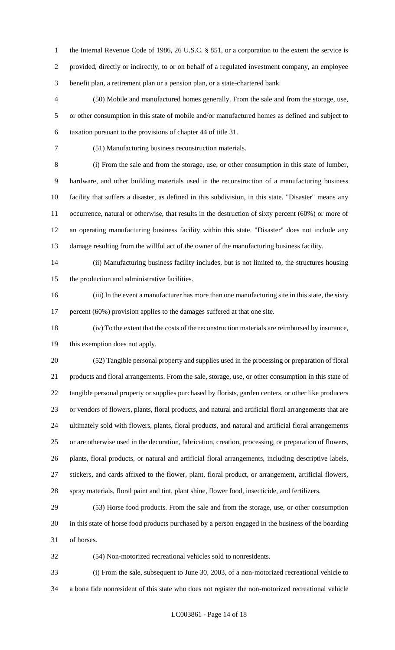1 the Internal Revenue Code of 1986, 26 U.S.C. § 851, or a corporation to the extent the service is provided, directly or indirectly, to or on behalf of a regulated investment company, an employee benefit plan, a retirement plan or a pension plan, or a state-chartered bank.

 (50) Mobile and manufactured homes generally. From the sale and from the storage, use, or other consumption in this state of mobile and/or manufactured homes as defined and subject to taxation pursuant to the provisions of chapter 44 of title 31.

(51) Manufacturing business reconstruction materials.

 (i) From the sale and from the storage, use, or other consumption in this state of lumber, hardware, and other building materials used in the reconstruction of a manufacturing business facility that suffers a disaster, as defined in this subdivision, in this state. "Disaster" means any occurrence, natural or otherwise, that results in the destruction of sixty percent (60%) or more of an operating manufacturing business facility within this state. "Disaster" does not include any damage resulting from the willful act of the owner of the manufacturing business facility.

 (ii) Manufacturing business facility includes, but is not limited to, the structures housing the production and administrative facilities.

 (iii) In the event a manufacturer has more than one manufacturing site in this state, the sixty 17 percent (60%) provision applies to the damages suffered at that one site.

 (iv) To the extent that the costs of the reconstruction materials are reimbursed by insurance, this exemption does not apply.

 (52) Tangible personal property and supplies used in the processing or preparation of floral products and floral arrangements. From the sale, storage, use, or other consumption in this state of tangible personal property or supplies purchased by florists, garden centers, or other like producers or vendors of flowers, plants, floral products, and natural and artificial floral arrangements that are ultimately sold with flowers, plants, floral products, and natural and artificial floral arrangements or are otherwise used in the decoration, fabrication, creation, processing, or preparation of flowers, plants, floral products, or natural and artificial floral arrangements, including descriptive labels, stickers, and cards affixed to the flower, plant, floral product, or arrangement, artificial flowers, spray materials, floral paint and tint, plant shine, flower food, insecticide, and fertilizers.

 (53) Horse food products. From the sale and from the storage, use, or other consumption in this state of horse food products purchased by a person engaged in the business of the boarding of horses.

(54) Non-motorized recreational vehicles sold to nonresidents.

 (i) From the sale, subsequent to June 30, 2003, of a non-motorized recreational vehicle to a bona fide nonresident of this state who does not register the non-motorized recreational vehicle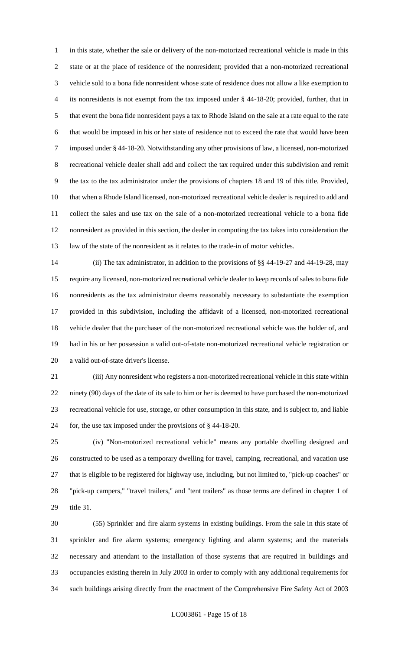in this state, whether the sale or delivery of the non-motorized recreational vehicle is made in this state or at the place of residence of the nonresident; provided that a non-motorized recreational vehicle sold to a bona fide nonresident whose state of residence does not allow a like exemption to its nonresidents is not exempt from the tax imposed under § 44-18-20; provided, further, that in that event the bona fide nonresident pays a tax to Rhode Island on the sale at a rate equal to the rate that would be imposed in his or her state of residence not to exceed the rate that would have been imposed under § 44-18-20. Notwithstanding any other provisions of law, a licensed, non-motorized recreational vehicle dealer shall add and collect the tax required under this subdivision and remit the tax to the tax administrator under the provisions of chapters 18 and 19 of this title. Provided, that when a Rhode Island licensed, non-motorized recreational vehicle dealer is required to add and collect the sales and use tax on the sale of a non-motorized recreational vehicle to a bona fide nonresident as provided in this section, the dealer in computing the tax takes into consideration the law of the state of the nonresident as it relates to the trade-in of motor vehicles.

 (ii) The tax administrator, in addition to the provisions of §§ 44-19-27 and 44-19-28, may require any licensed, non-motorized recreational vehicle dealer to keep records of sales to bona fide nonresidents as the tax administrator deems reasonably necessary to substantiate the exemption provided in this subdivision, including the affidavit of a licensed, non-motorized recreational vehicle dealer that the purchaser of the non-motorized recreational vehicle was the holder of, and had in his or her possession a valid out-of-state non-motorized recreational vehicle registration or a valid out-of-state driver's license.

 (iii) Any nonresident who registers a non-motorized recreational vehicle in this state within ninety (90) days of the date of its sale to him or her is deemed to have purchased the non-motorized recreational vehicle for use, storage, or other consumption in this state, and is subject to, and liable for, the use tax imposed under the provisions of § 44-18-20.

 (iv) "Non-motorized recreational vehicle" means any portable dwelling designed and constructed to be used as a temporary dwelling for travel, camping, recreational, and vacation use that is eligible to be registered for highway use, including, but not limited to, "pick-up coaches" or "pick-up campers," "travel trailers," and "tent trailers" as those terms are defined in chapter 1 of title 31.

 (55) Sprinkler and fire alarm systems in existing buildings. From the sale in this state of sprinkler and fire alarm systems; emergency lighting and alarm systems; and the materials necessary and attendant to the installation of those systems that are required in buildings and occupancies existing therein in July 2003 in order to comply with any additional requirements for such buildings arising directly from the enactment of the Comprehensive Fire Safety Act of 2003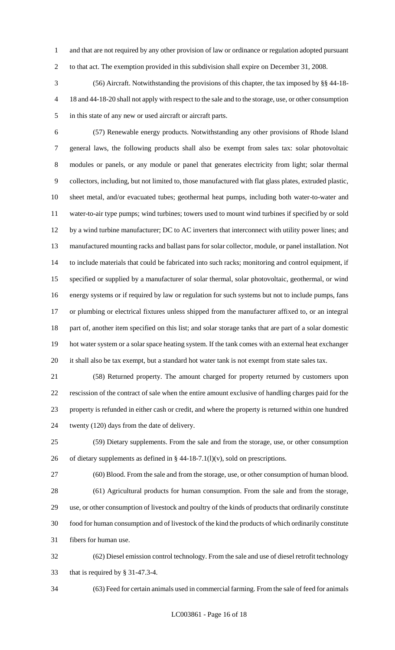and that are not required by any other provision of law or ordinance or regulation adopted pursuant to that act. The exemption provided in this subdivision shall expire on December 31, 2008.

 (56) Aircraft. Notwithstanding the provisions of this chapter, the tax imposed by §§ 44-18- 18 and 44-18-20 shall not apply with respect to the sale and to the storage, use, or other consumption in this state of any new or used aircraft or aircraft parts.

 (57) Renewable energy products. Notwithstanding any other provisions of Rhode Island general laws, the following products shall also be exempt from sales tax: solar photovoltaic modules or panels, or any module or panel that generates electricity from light; solar thermal collectors, including, but not limited to, those manufactured with flat glass plates, extruded plastic, sheet metal, and/or evacuated tubes; geothermal heat pumps, including both water-to-water and water-to-air type pumps; wind turbines; towers used to mount wind turbines if specified by or sold by a wind turbine manufacturer; DC to AC inverters that interconnect with utility power lines; and manufactured mounting racks and ballast pans for solar collector, module, or panel installation. Not to include materials that could be fabricated into such racks; monitoring and control equipment, if specified or supplied by a manufacturer of solar thermal, solar photovoltaic, geothermal, or wind energy systems or if required by law or regulation for such systems but not to include pumps, fans or plumbing or electrical fixtures unless shipped from the manufacturer affixed to, or an integral part of, another item specified on this list; and solar storage tanks that are part of a solar domestic hot water system or a solar space heating system. If the tank comes with an external heat exchanger it shall also be tax exempt, but a standard hot water tank is not exempt from state sales tax.

 (58) Returned property. The amount charged for property returned by customers upon rescission of the contract of sale when the entire amount exclusive of handling charges paid for the property is refunded in either cash or credit, and where the property is returned within one hundred twenty (120) days from the date of delivery.

 (59) Dietary supplements. From the sale and from the storage, use, or other consumption 26 of dietary supplements as defined in  $\S$  44-18-7.1(l)(v), sold on prescriptions.

 (60) Blood. From the sale and from the storage, use, or other consumption of human blood. (61) Agricultural products for human consumption. From the sale and from the storage, use, or other consumption of livestock and poultry of the kinds of products that ordinarily constitute food for human consumption and of livestock of the kind the products of which ordinarily constitute

fibers for human use.

 (62) Diesel emission control technology. From the sale and use of diesel retrofit technology that is required by § 31-47.3-4.

(63) Feed for certain animals used in commercial farming. From the sale of feed for animals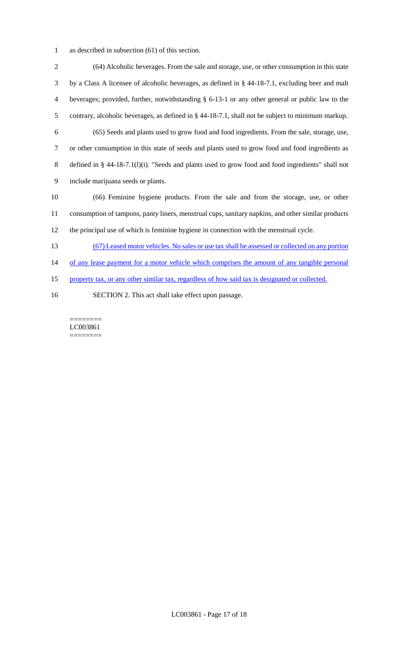as described in subsection (61) of this section.

 (64) Alcoholic beverages. From the sale and storage, use, or other consumption in this state by a Class A licensee of alcoholic beverages, as defined in § 44-18-7.1, excluding beer and malt beverages; provided, further, notwithstanding § 6-13-1 or any other general or public law to the contrary, alcoholic beverages, as defined in § 44-18-7.1, shall not be subject to minimum markup. (65) Seeds and plants used to grow food and food ingredients. From the sale, storage, use, or other consumption in this state of seeds and plants used to grow food and food ingredients as defined in § 44-18-7.1(l)(i). "Seeds and plants used to grow food and food ingredients" shall not include marijuana seeds or plants. (66) Feminine hygiene products. From the sale and from the storage, use, or other consumption of tampons, panty liners, menstrual cups, sanitary napkins, and other similar products the principal use of which is feminine hygiene in connection with the menstrual cycle. (67) Leased motor vehicles. No sales or use tax shall be assessed or collected on any portion 14 of any lease payment for a motor vehicle which comprises the amount of any tangible personal property tax, or any other similar tax, regardless of how said tax is designated or collected.

SECTION 2. This act shall take effect upon passage.

======== LC003861 ========